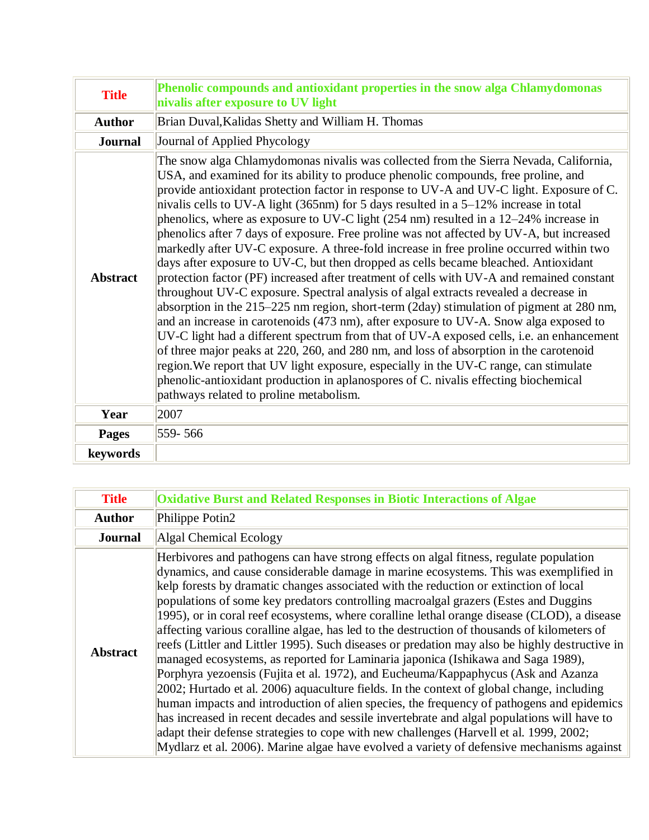| <b>Title</b>    | Phenolic compounds and antioxidant properties in the snow alga Chlamydomonas<br>nivalis after exposure to UV light                                                                                                                                                                                                                                                                                                                                                                                                                                                                                                                                                                                                                                                                                                                                                                                                                                                                                                                                                                                                                                                                                                                                                                                                                                                                                                                                                                                                               |
|-----------------|----------------------------------------------------------------------------------------------------------------------------------------------------------------------------------------------------------------------------------------------------------------------------------------------------------------------------------------------------------------------------------------------------------------------------------------------------------------------------------------------------------------------------------------------------------------------------------------------------------------------------------------------------------------------------------------------------------------------------------------------------------------------------------------------------------------------------------------------------------------------------------------------------------------------------------------------------------------------------------------------------------------------------------------------------------------------------------------------------------------------------------------------------------------------------------------------------------------------------------------------------------------------------------------------------------------------------------------------------------------------------------------------------------------------------------------------------------------------------------------------------------------------------------|
| <b>Author</b>   | Brian Duval, Kalidas Shetty and William H. Thomas                                                                                                                                                                                                                                                                                                                                                                                                                                                                                                                                                                                                                                                                                                                                                                                                                                                                                                                                                                                                                                                                                                                                                                                                                                                                                                                                                                                                                                                                                |
| <b>Journal</b>  | Journal of Applied Phycology                                                                                                                                                                                                                                                                                                                                                                                                                                                                                                                                                                                                                                                                                                                                                                                                                                                                                                                                                                                                                                                                                                                                                                                                                                                                                                                                                                                                                                                                                                     |
| <b>Abstract</b> | The snow alga Chlamydomonas nivalis was collected from the Sierra Nevada, California,<br>USA, and examined for its ability to produce phenolic compounds, free proline, and<br>provide antioxidant protection factor in response to UV-A and UV-C light. Exposure of C.<br>nivalis cells to UV-A light (365nm) for 5 days resulted in a 5–12% increase in total<br>phenolics, where as exposure to UV-C light (254 nm) resulted in a 12-24% increase in<br>phenolics after 7 days of exposure. Free proline was not affected by UV-A, but increased<br>markedly after UV-C exposure. A three-fold increase in free proline occurred within two<br>days after exposure to UV-C, but then dropped as cells became bleached. Antioxidant<br>protection factor (PF) increased after treatment of cells with UV-A and remained constant<br>throughout UV-C exposure. Spectral analysis of algal extracts revealed a decrease in<br>absorption in the 215–225 nm region, short-term (2day) stimulation of pigment at 280 nm,<br>and an increase in carotenoids (473 nm), after exposure to UV-A. Snow alga exposed to<br>UV-C light had a different spectrum from that of UV-A exposed cells, i.e. an enhancement<br>of three major peaks at 220, 260, and 280 nm, and loss of absorption in the carotenoid<br>region. We report that UV light exposure, especially in the UV-C range, can stimulate<br>phenolic-antioxidant production in aplanospores of C. nivalis effecting biochemical<br>pathways related to proline metabolism. |
| Year            | 2007                                                                                                                                                                                                                                                                                                                                                                                                                                                                                                                                                                                                                                                                                                                                                                                                                                                                                                                                                                                                                                                                                                                                                                                                                                                                                                                                                                                                                                                                                                                             |
| <b>Pages</b>    | 559-566                                                                                                                                                                                                                                                                                                                                                                                                                                                                                                                                                                                                                                                                                                                                                                                                                                                                                                                                                                                                                                                                                                                                                                                                                                                                                                                                                                                                                                                                                                                          |
| keywords        |                                                                                                                                                                                                                                                                                                                                                                                                                                                                                                                                                                                                                                                                                                                                                                                                                                                                                                                                                                                                                                                                                                                                                                                                                                                                                                                                                                                                                                                                                                                                  |

| <b>Title</b>    | Oxidative Burst and Related Responses in Biotic Interactions of Algae                                                                                                                                                                                                                                                                                                                                                                                                                                                                                                                                                                                                                                                                                                                                                                                                                                                                                                                                                                                                                                                                                                                                                                                                                                                    |
|-----------------|--------------------------------------------------------------------------------------------------------------------------------------------------------------------------------------------------------------------------------------------------------------------------------------------------------------------------------------------------------------------------------------------------------------------------------------------------------------------------------------------------------------------------------------------------------------------------------------------------------------------------------------------------------------------------------------------------------------------------------------------------------------------------------------------------------------------------------------------------------------------------------------------------------------------------------------------------------------------------------------------------------------------------------------------------------------------------------------------------------------------------------------------------------------------------------------------------------------------------------------------------------------------------------------------------------------------------|
| <b>Author</b>   | Philippe Potin2                                                                                                                                                                                                                                                                                                                                                                                                                                                                                                                                                                                                                                                                                                                                                                                                                                                                                                                                                                                                                                                                                                                                                                                                                                                                                                          |
| <b>Journal</b>  | Algal Chemical Ecology                                                                                                                                                                                                                                                                                                                                                                                                                                                                                                                                                                                                                                                                                                                                                                                                                                                                                                                                                                                                                                                                                                                                                                                                                                                                                                   |
| <b>Abstract</b> | Herbivores and pathogens can have strong effects on algal fitness, regulate population<br>dynamics, and cause considerable damage in marine ecosystems. This was exemplified in<br>kelp forests by dramatic changes associated with the reduction or extinction of local<br>populations of some key predators controlling macroalgal grazers (Estes and Duggins<br>1995), or in coral reef ecosystems, where coralline lethal orange disease (CLOD), a disease<br>affecting various coralline algae, has led to the destruction of thousands of kilometers of<br>reefs (Littler and Littler 1995). Such diseases or predation may also be highly destructive in<br>managed ecosystems, as reported for Laminaria japonica (Ishikawa and Saga 1989),<br>Porphyra yezoensis (Fujita et al. 1972), and Eucheuma/Kappaphycus (Ask and Azanza<br>2002; Hurtado et al. 2006) aquaculture fields. In the context of global change, including<br>human impacts and introduction of alien species, the frequency of pathogens and epidemics<br>has increased in recent decades and sessile invertebrate and algal populations will have to<br>adapt their defense strategies to cope with new challenges (Harvell et al. 1999, 2002;<br>Mydlarz et al. 2006). Marine algae have evolved a variety of defensive mechanisms against |